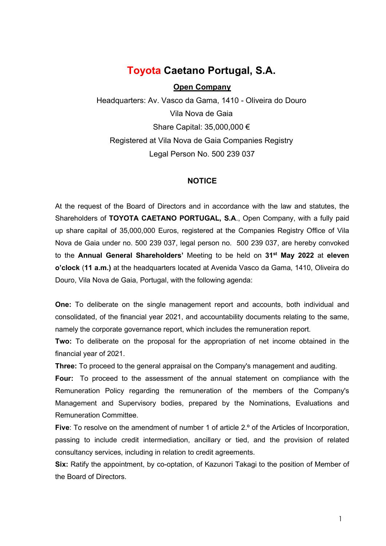# Toyota Caetano Portugal, S.A.

# Open Company

 Headquarters: Av. Vasco da Gama, 1410 - Oliveira do Douro Vila Nova de Gaia Share Capital: 35,000,000 € Registered at Vila Nova de Gaia Companies Registry Legal Person No. 500 239 037

# **NOTICE**

At the request of the Board of Directors and in accordance with the law and statutes, the Shareholders of TOYOTA CAETANO PORTUGAL, S.A., Open Company, with a fully paid up share capital of 35,000,000 Euros, registered at the Companies Registry Office of Vila Nova de Gaia under no. 500 239 037, legal person no. 500 239 037, are hereby convoked to the Annual General Shareholders' Meeting to be held on 31<sup>st</sup> May 2022 at eleven o'clock (11 a.m.) at the headquarters located at Avenida Vasco da Gama, 1410, Oliveira do Douro, Vila Nova de Gaia, Portugal, with the following agenda:

One: To deliberate on the single management report and accounts, both individual and consolidated, of the financial year 2021, and accountability documents relating to the same, namely the corporate governance report, which includes the remuneration report.

Two: To deliberate on the proposal for the appropriation of net income obtained in the financial year of 2021.

Three: To proceed to the general appraisal on the Company's management and auditing.

Four: To proceed to the assessment of the annual statement on compliance with the Remuneration Policy regarding the remuneration of the members of the Company's Management and Supervisory bodies, prepared by the Nominations, Evaluations and Remuneration Committee.

Five: To resolve on the amendment of number 1 of article 2.<sup>o</sup> of the Articles of Incorporation, passing to include credit intermediation, ancillary or tied, and the provision of related consultancy services, including in relation to credit agreements.

Six: Ratify the appointment, by co-optation, of Kazunori Takagi to the position of Member of the Board of Directors.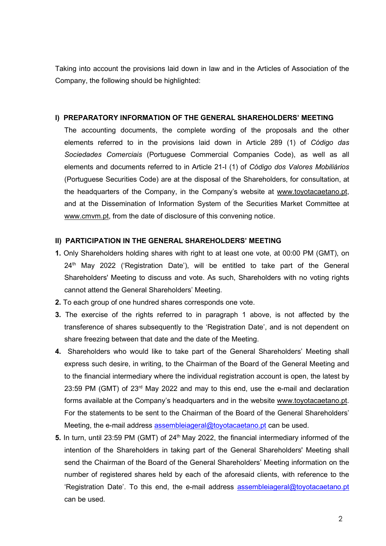Taking into account the provisions laid down in law and in the Articles of Association of the Company, the following should be highlighted:

# I) PREPARATORY INFORMATION OF THE GENERAL SHAREHOLDERS' MEETING

The accounting documents, the complete wording of the proposals and the other elements referred to in the provisions laid down in Article 289 (1) of Código das Sociedades Comerciais (Portuguese Commercial Companies Code), as well as all elements and documents referred to in Article 21-I (1) of Código dos Valores Mobiliários (Portuguese Securities Code) are at the disposal of the Shareholders, for consultation, at the headquarters of the Company, in the Company's website at www.toyotacaetano.pt, and at the Dissemination of Information System of the Securities Market Committee at www.cmvm.pt, from the date of disclosure of this convening notice.

# II) PARTICIPATION IN THE GENERAL SHAREHOLDERS' MEETING

- 1. Only Shareholders holding shares with right to at least one vote, at 00:00 PM (GMT), on 24<sup>th</sup> May 2022 ('Registration Date'), will be entitled to take part of the General Shareholders' Meeting to discuss and vote. As such, Shareholders with no voting rights cannot attend the General Shareholders' Meeting.
- 2. To each group of one hundred shares corresponds one vote.
- 3. The exercise of the rights referred to in paragraph 1 above, is not affected by the transference of shares subsequently to the 'Registration Date', and is not dependent on share freezing between that date and the date of the Meeting.
- 4. Shareholders who would like to take part of the General Shareholders' Meeting shall express such desire, in writing, to the Chairman of the Board of the General Meeting and to the financial intermediary where the individual registration account is open, the latest by 23:59 PM (GMT) of 23<sup>rd</sup> May 2022 and may to this end, use the e-mail and declaration forms available at the Company's headquarters and in the website www.toyotacaetano.pt. For the statements to be sent to the Chairman of the Board of the General Shareholders' Meeting, the e-mail address assembleiageral@toyotacaetano.pt can be used.
- 5. In turn, until 23:59 PM (GMT) of  $24<sup>th</sup>$  May 2022, the financial intermediary informed of the intention of the Shareholders in taking part of the General Shareholders' Meeting shall send the Chairman of the Board of the General Shareholders' Meeting information on the number of registered shares held by each of the aforesaid clients, with reference to the 'Registration Date'. To this end, the e-mail address assembleiageral@toyotacaetano.pt can be used.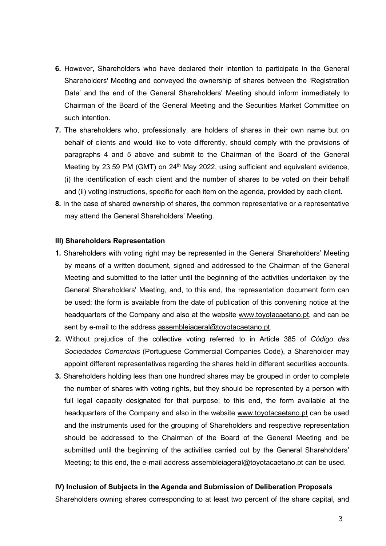- 6. However, Shareholders who have declared their intention to participate in the General Shareholders' Meeting and conveyed the ownership of shares between the 'Registration Date' and the end of the General Shareholders' Meeting should inform immediately to Chairman of the Board of the General Meeting and the Securities Market Committee on such intention.
- 7. The shareholders who, professionally, are holders of shares in their own name but on behalf of clients and would like to vote differently, should comply with the provisions of paragraphs 4 and 5 above and submit to the Chairman of the Board of the General Meeting by 23:59 PM (GMT) on 24<sup>th</sup> May 2022, using sufficient and equivalent evidence, (i) the identification of each client and the number of shares to be voted on their behalf and (ii) voting instructions, specific for each item on the agenda, provided by each client.
- 8. In the case of shared ownership of shares, the common representative or a representative may attend the General Shareholders' Meeting.

#### III) Shareholders Representation

- 1. Shareholders with voting right may be represented in the General Shareholders' Meeting by means of a written document, signed and addressed to the Chairman of the General Meeting and submitted to the latter until the beginning of the activities undertaken by the General Shareholders' Meeting, and, to this end, the representation document form can be used; the form is available from the date of publication of this convening notice at the headquarters of the Company and also at the website www.toyotacaetano.pt, and can be sent by e-mail to the address assembleiageral@toyotacaetano.pt.
- 2. Without prejudice of the collective voting referred to in Article 385 of Código das Sociedades Comerciais (Portuguese Commercial Companies Code), a Shareholder may appoint different representatives regarding the shares held in different securities accounts.
- 3. Shareholders holding less than one hundred shares may be grouped in order to complete the number of shares with voting rights, but they should be represented by a person with full legal capacity designated for that purpose; to this end, the form available at the headquarters of the Company and also in the website www.toyotacaetano.pt can be used and the instruments used for the grouping of Shareholders and respective representation should be addressed to the Chairman of the Board of the General Meeting and be submitted until the beginning of the activities carried out by the General Shareholders' Meeting; to this end, the e-mail address assembleiageral@toyotacaetano.pt can be used.

#### IV) Inclusion of Subjects in the Agenda and Submission of Deliberation Proposals

Shareholders owning shares corresponding to at least two percent of the share capital, and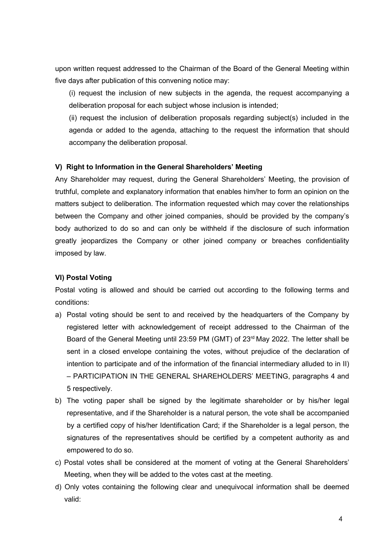upon written request addressed to the Chairman of the Board of the General Meeting within five days after publication of this convening notice may:

(i) request the inclusion of new subjects in the agenda, the request accompanying a deliberation proposal for each subject whose inclusion is intended;

(ii) request the inclusion of deliberation proposals regarding subject(s) included in the agenda or added to the agenda, attaching to the request the information that should accompany the deliberation proposal.

# V) Right to Information in the General Shareholders' Meeting

Any Shareholder may request, during the General Shareholders' Meeting, the provision of truthful, complete and explanatory information that enables him/her to form an opinion on the matters subject to deliberation. The information requested which may cover the relationships between the Company and other joined companies, should be provided by the company's body authorized to do so and can only be withheld if the disclosure of such information greatly jeopardizes the Company or other joined company or breaches confidentiality imposed by law.

# VI) Postal Voting

Postal voting is allowed and should be carried out according to the following terms and conditions:

- a) Postal voting should be sent to and received by the headquarters of the Company by registered letter with acknowledgement of receipt addressed to the Chairman of the Board of the General Meeting until 23:59 PM (GMT) of 23<sup>rd</sup> May 2022. The letter shall be sent in a closed envelope containing the votes, without prejudice of the declaration of intention to participate and of the information of the financial intermediary alluded to in II) – PARTICIPATION IN THE GENERAL SHAREHOLDERS' MEETING, paragraphs 4 and 5 respectively.
- b) The voting paper shall be signed by the legitimate shareholder or by his/her legal representative, and if the Shareholder is a natural person, the vote shall be accompanied by a certified copy of his/her Identification Card; if the Shareholder is a legal person, the signatures of the representatives should be certified by a competent authority as and empowered to do so.
- c) Postal votes shall be considered at the moment of voting at the General Shareholders' Meeting, when they will be added to the votes cast at the meeting.
- d) Only votes containing the following clear and unequivocal information shall be deemed valid: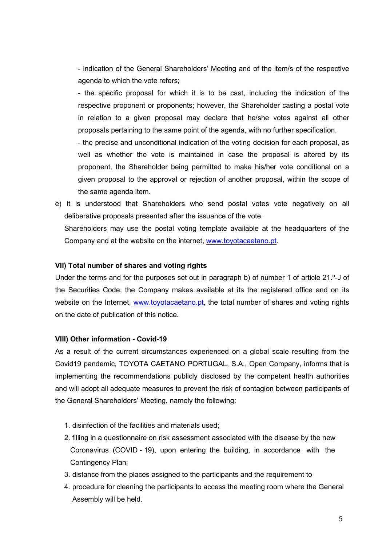- indication of the General Shareholders' Meeting and of the item/s of the respective agenda to which the vote refers;

- the specific proposal for which it is to be cast, including the indication of the respective proponent or proponents; however, the Shareholder casting a postal vote in relation to a given proposal may declare that he/she votes against all other proposals pertaining to the same point of the agenda, with no further specification.

- the precise and unconditional indication of the voting decision for each proposal, as well as whether the vote is maintained in case the proposal is altered by its proponent, the Shareholder being permitted to make his/her vote conditional on a given proposal to the approval or rejection of another proposal, within the scope of the same agenda item.

e) It is understood that Shareholders who send postal votes vote negatively on all deliberative proposals presented after the issuance of the vote.

Shareholders may use the postal voting template available at the headquarters of the Company and at the website on the internet, www.toyotacaetano.pt.

# VII) Total number of shares and voting rights

Under the terms and for the purposes set out in paragraph b) of number 1 of article 21.º-J of the Securities Code, the Company makes available at its the registered office and on its website on the Internet, www.toyotacaetano.pt, the total number of shares and voting rights on the date of publication of this notice.

# VIII) Other information - Covid-19

As a result of the current circumstances experienced on a global scale resulting from the Covid19 pandemic, TOYOTA CAETANO PORTUGAL, S.A., Open Company, informs that is implementing the recommendations publicly disclosed by the competent health authorities and will adopt all adequate measures to prevent the risk of contagion between participants of the General Shareholders' Meeting, namely the following:

- 1. disinfection of the facilities and materials used;
- 2. filling in a questionnaire on risk assessment associated with the disease by the new Coronavirus (COVID - 19), upon entering the building, in accordance with the Contingency Plan;
- 3. distance from the places assigned to the participants and the requirement to
- 4. procedure for cleaning the participants to access the meeting room where the General Assembly will be held.